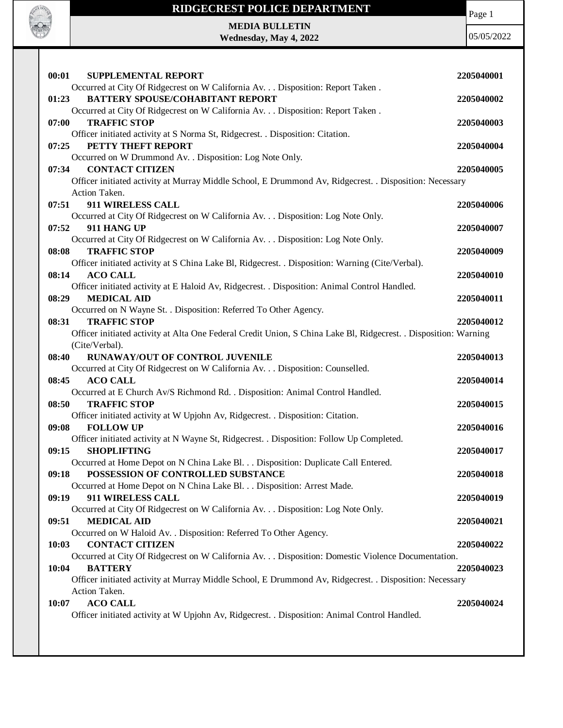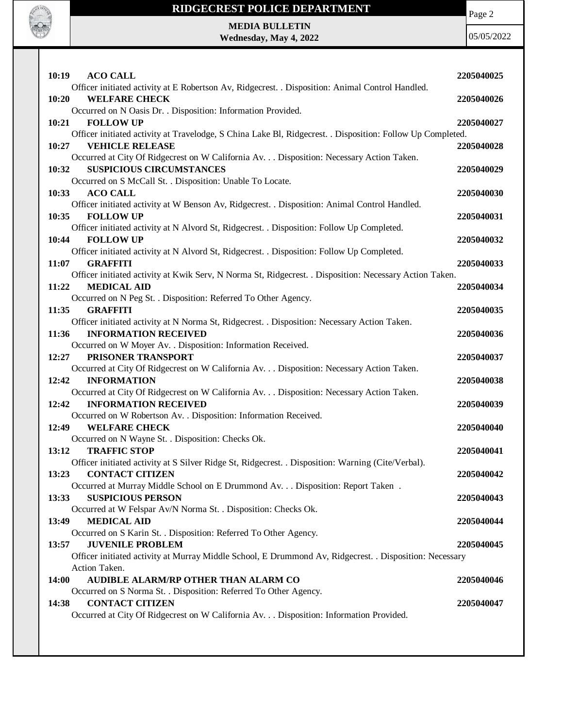

## **RIDGECREST POLICE DEPARTMENT**

Page 2

## **MEDIA BULLETIN Wednesday, May 4, 2022**

05/05/2022

| 10:19<br><b>ACO CALL</b>                                                                                                    | 2205040025 |
|-----------------------------------------------------------------------------------------------------------------------------|------------|
| Officer initiated activity at E Robertson Av, Ridgecrest. . Disposition: Animal Control Handled.                            |            |
| 10:20<br><b>WELFARE CHECK</b><br>Occurred on N Oasis Dr. . Disposition: Information Provided.                               | 2205040026 |
| 10:21<br><b>FOLLOW UP</b>                                                                                                   | 2205040027 |
| Officer initiated activity at Travelodge, S China Lake Bl, Ridgecrest. . Disposition: Follow Up Completed.                  |            |
| <b>VEHICLE RELEASE</b><br>10:27                                                                                             | 2205040028 |
| Occurred at City Of Ridgecrest on W California Av. Disposition: Necessary Action Taken.                                     |            |
| <b>SUSPICIOUS CIRCUMSTANCES</b><br>10:32                                                                                    | 2205040029 |
| Occurred on S McCall St. . Disposition: Unable To Locate.                                                                   |            |
| <b>ACO CALL</b><br>10:33                                                                                                    | 2205040030 |
| Officer initiated activity at W Benson Av, Ridgecrest. . Disposition: Animal Control Handled.                               |            |
| 10:35<br><b>FOLLOW UP</b>                                                                                                   | 2205040031 |
| Officer initiated activity at N Alvord St, Ridgecrest. . Disposition: Follow Up Completed.                                  |            |
| 10:44<br><b>FOLLOW UP</b>                                                                                                   | 2205040032 |
| Officer initiated activity at N Alvord St, Ridgecrest. . Disposition: Follow Up Completed.                                  |            |
| 11:07<br><b>GRAFFITI</b>                                                                                                    | 2205040033 |
| Officer initiated activity at Kwik Serv, N Norma St, Ridgecrest. . Disposition: Necessary Action Taken.                     |            |
| 11:22<br><b>MEDICAL AID</b>                                                                                                 | 2205040034 |
| Occurred on N Peg St. . Disposition: Referred To Other Agency.                                                              |            |
| 11:35<br><b>GRAFFITI</b>                                                                                                    | 2205040035 |
| Officer initiated activity at N Norma St, Ridgecrest. . Disposition: Necessary Action Taken.<br><b>INFORMATION RECEIVED</b> |            |
| 11:36                                                                                                                       | 2205040036 |
| Occurred on W Moyer Av. . Disposition: Information Received.<br>PRISONER TRANSPORT<br>12:27                                 | 2205040037 |
| Occurred at City Of Ridgecrest on W California Av. Disposition: Necessary Action Taken.                                     |            |
| <b>INFORMATION</b><br>12:42                                                                                                 | 2205040038 |
| Occurred at City Of Ridgecrest on W California Av. Disposition: Necessary Action Taken.                                     |            |
| 12:42<br><b>INFORMATION RECEIVED</b>                                                                                        | 2205040039 |
| Occurred on W Robertson Av. . Disposition: Information Received.                                                            |            |
| 12:49<br><b>WELFARE CHECK</b>                                                                                               | 2205040040 |
| Occurred on N Wayne St. . Disposition: Checks Ok.                                                                           |            |
| 13:12<br><b>TRAFFIC STOP</b>                                                                                                | 2205040041 |
| Officer initiated activity at S Silver Ridge St, Ridgecrest. . Disposition: Warning (Cite/Verbal).                          |            |
| 13:23<br><b>CONTACT CITIZEN</b>                                                                                             | 2205040042 |
| Occurred at Murray Middle School on E Drummond Av. Disposition: Report Taken.                                               |            |
| <b>SUSPICIOUS PERSON</b><br>13:33                                                                                           | 2205040043 |
| Occurred at W Felspar Av/N Norma St. . Disposition: Checks Ok.                                                              |            |
| <b>MEDICAL AID</b><br>13:49                                                                                                 | 2205040044 |
| Occurred on S Karin St. . Disposition: Referred To Other Agency.                                                            |            |
| <b>JUVENILE PROBLEM</b><br>13:57                                                                                            | 2205040045 |
| Officer initiated activity at Murray Middle School, E Drummond Av, Ridgecrest. . Disposition: Necessary<br>Action Taken.    |            |
| AUDIBLE ALARM/RP OTHER THAN ALARM CO<br><b>14:00</b>                                                                        | 2205040046 |
| Occurred on S Norma St. . Disposition: Referred To Other Agency.                                                            |            |
| <b>CONTACT CITIZEN</b><br>14:38                                                                                             | 2205040047 |
| Occurred at City Of Ridgecrest on W California Av. Disposition: Information Provided.                                       |            |
|                                                                                                                             |            |
|                                                                                                                             |            |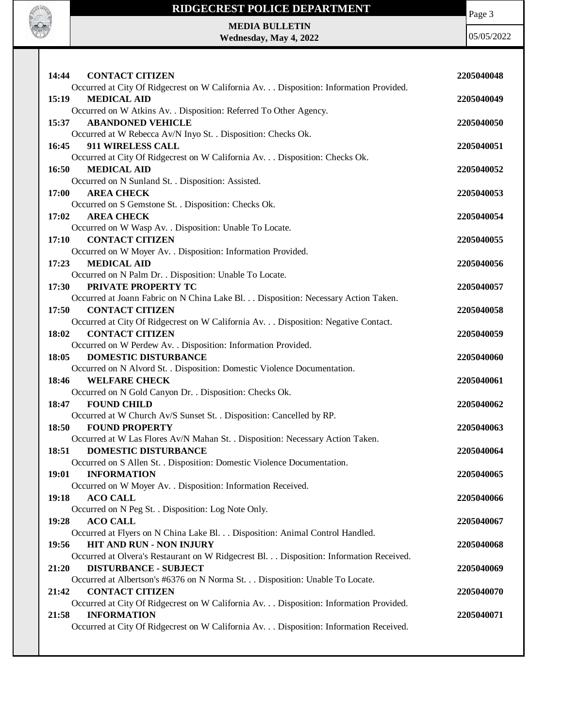